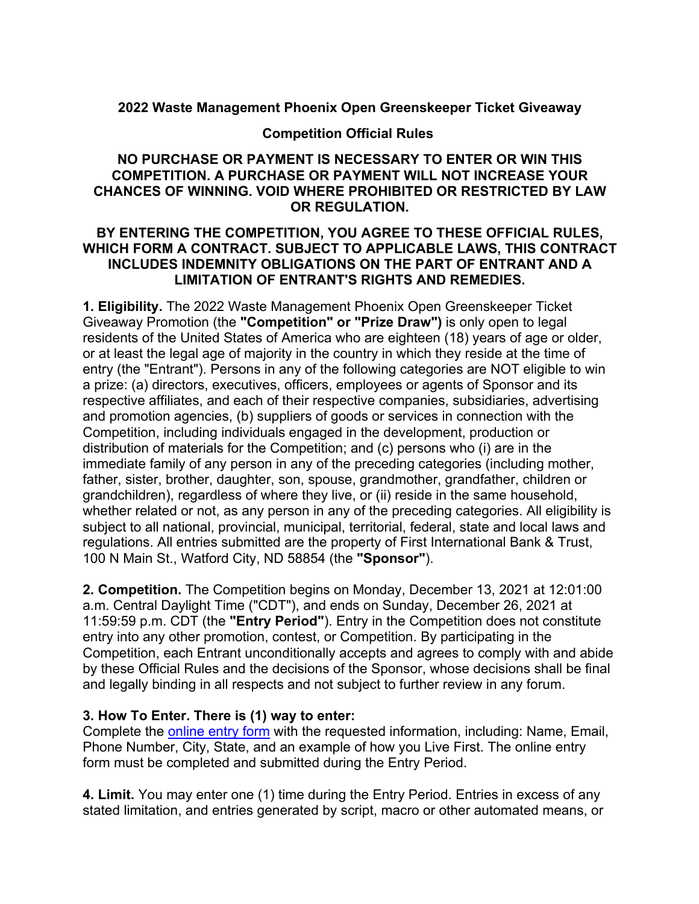## **2022 Waste Management Phoenix Open Greenskeeper Ticket Giveaway**

#### **Competition Official Rules**

## **NO PURCHASE OR PAYMENT IS NECESSARY TO ENTER OR WIN THIS COMPETITION. A PURCHASE OR PAYMENT WILL NOT INCREASE YOUR CHANCES OF WINNING. VOID WHERE PROHIBITED OR RESTRICTED BY LAW OR REGULATION.**

#### **BY ENTERING THE COMPETITION, YOU AGREE TO THESE OFFICIAL RULES, WHICH FORM A CONTRACT. SUBJECT TO APPLICABLE LAWS, THIS CONTRACT INCLUDES INDEMNITY OBLIGATIONS ON THE PART OF ENTRANT AND A LIMITATION OF ENTRANT'S RIGHTS AND REMEDIES.**

**1. Eligibility.** The 2022 Waste Management Phoenix Open Greenskeeper Ticket Giveaway Promotion (the **"Competition" or "Prize Draw")** is only open to legal residents of the United States of America who are eighteen (18) years of age or older, or at least the legal age of majority in the country in which they reside at the time of entry (the "Entrant"). Persons in any of the following categories are NOT eligible to win a prize: (a) directors, executives, officers, employees or agents of Sponsor and its respective affiliates, and each of their respective companies, subsidiaries, advertising and promotion agencies, (b) suppliers of goods or services in connection with the Competition, including individuals engaged in the development, production or distribution of materials for the Competition; and (c) persons who (i) are in the immediate family of any person in any of the preceding categories (including mother, father, sister, brother, daughter, son, spouse, grandmother, grandfather, children or grandchildren), regardless of where they live, or (ii) reside in the same household, whether related or not, as any person in any of the preceding categories. All eligibility is subject to all national, provincial, municipal, territorial, federal, state and local laws and regulations. All entries submitted are the property of First International Bank & Trust, 100 N Main St., Watford City, ND 58854 (the **"Sponsor"**).

**2. Competition.** The Competition begins on Monday, December 13, 2021 at 12:01:00 a.m. Central Daylight Time ("CDT"), and ends on Sunday, December 26, 2021 at 11:59:59 p.m. CDT (the **"Entry Period"**). Entry in the Competition does not constitute entry into any other promotion, contest, or Competition. By participating in the Competition, each Entrant unconditionally accepts and agrees to comply with and abide by these Official Rules and the decisions of the Sponsor, whose decisions shall be final and legally binding in all respects and not subject to further review in any forum.

#### **3. How To Enter. There is (1) way to enter:**

Complete the online entry form with the requested information, including: Name, Email, Phone Number, City, State, and an example of how you Live First. The online entry form must be completed and submitted during the Entry Period.

**4. Limit.** You may enter one (1) time during the Entry Period. Entries in excess of any stated limitation, and entries generated by script, macro or other automated means, or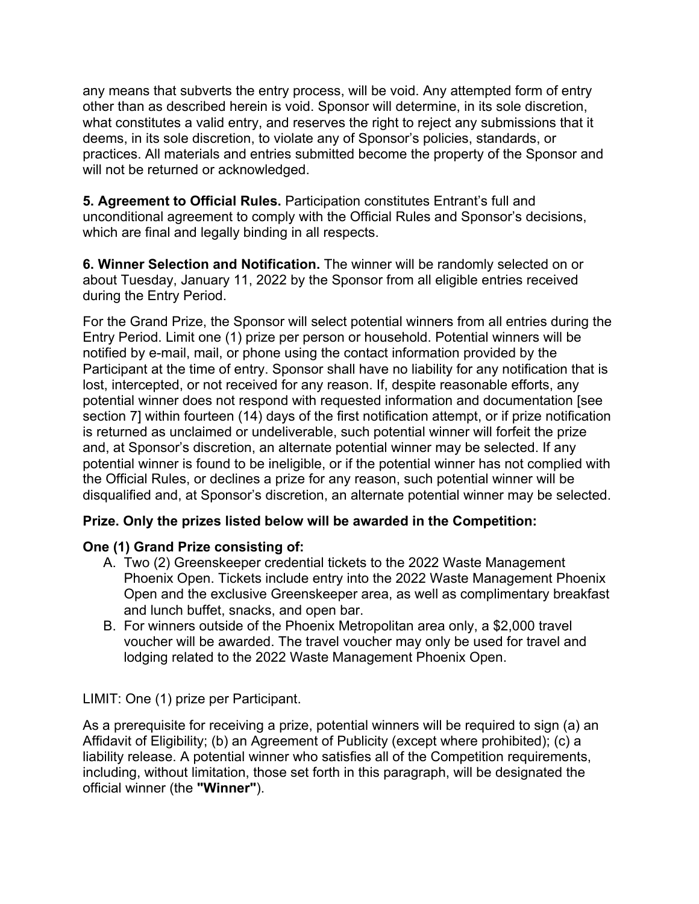any means that subverts the entry process, will be void. Any attempted form of entry other than as described herein is void. Sponsor will determine, in its sole discretion, what constitutes a valid entry, and reserves the right to reject any submissions that it deems, in its sole discretion, to violate any of Sponsor's policies, standards, or practices. All materials and entries submitted become the property of the Sponsor and will not be returned or acknowledged.

**5. Agreement to Official Rules.** Participation constitutes Entrant's full and unconditional agreement to comply with the Official Rules and Sponsor's decisions, which are final and legally binding in all respects.

**6. Winner Selection and Notification.** The winner will be randomly selected on or about Tuesday, January 11, 2022 by the Sponsor from all eligible entries received during the Entry Period.

For the Grand Prize, the Sponsor will select potential winners from all entries during the Entry Period. Limit one (1) prize per person or household. Potential winners will be notified by e-mail, mail, or phone using the contact information provided by the Participant at the time of entry. Sponsor shall have no liability for any notification that is lost, intercepted, or not received for any reason. If, despite reasonable efforts, any potential winner does not respond with requested information and documentation [see section 7] within fourteen (14) days of the first notification attempt, or if prize notification is returned as unclaimed or undeliverable, such potential winner will forfeit the prize and, at Sponsor's discretion, an alternate potential winner may be selected. If any potential winner is found to be ineligible, or if the potential winner has not complied with the Official Rules, or declines a prize for any reason, such potential winner will be disqualified and, at Sponsor's discretion, an alternate potential winner may be selected.

## **Prize. Only the prizes listed below will be awarded in the Competition:**

#### **One (1) Grand Prize consisting of:**

- A. Two (2) Greenskeeper credential tickets to the 2022 Waste Management Phoenix Open. Tickets include entry into the 2022 Waste Management Phoenix Open and the exclusive Greenskeeper area, as well as complimentary breakfast and lunch buffet, snacks, and open bar.
- B. For winners outside of the Phoenix Metropolitan area only, a \$2,000 travel voucher will be awarded. The travel voucher may only be used for travel and lodging related to the 2022 Waste Management Phoenix Open.

LIMIT: One (1) prize per Participant.

As a prerequisite for receiving a prize, potential winners will be required to sign (a) an Affidavit of Eligibility; (b) an Agreement of Publicity (except where prohibited); (c) a liability release. A potential winner who satisfies all of the Competition requirements, including, without limitation, those set forth in this paragraph, will be designated the official winner (the **"Winner"**).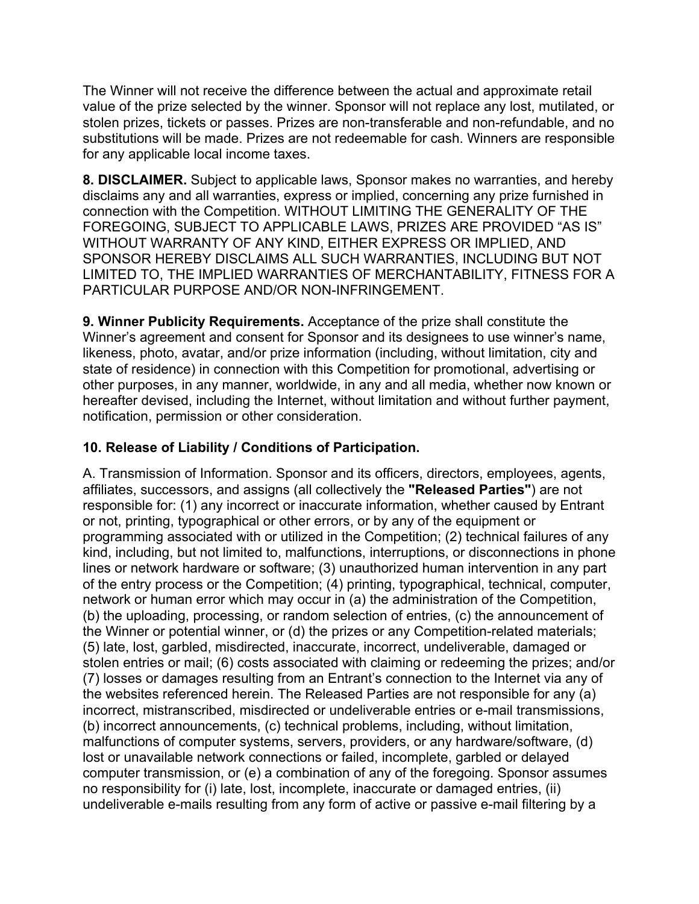The Winner will not receive the difference between the actual and approximate retail value of the prize selected by the winner. Sponsor will not replace any lost, mutilated, or stolen prizes, tickets or passes. Prizes are non-transferable and non-refundable, and no substitutions will be made. Prizes are not redeemable for cash. Winners are responsible for any applicable local income taxes.

**8. DISCLAIMER.** Subject to applicable laws, Sponsor makes no warranties, and hereby disclaims any and all warranties, express or implied, concerning any prize furnished in connection with the Competition. WITHOUT LIMITING THE GENERALITY OF THE FOREGOING, SUBJECT TO APPLICABLE LAWS, PRIZES ARE PROVIDED "AS IS" WITHOUT WARRANTY OF ANY KIND, EITHER EXPRESS OR IMPLIED, AND SPONSOR HEREBY DISCLAIMS ALL SUCH WARRANTIES, INCLUDING BUT NOT LIMITED TO, THE IMPLIED WARRANTIES OF MERCHANTABILITY, FITNESS FOR A PARTICULAR PURPOSE AND/OR NON-INFRINGEMENT.

**9. Winner Publicity Requirements.** Acceptance of the prize shall constitute the Winner's agreement and consent for Sponsor and its designees to use winner's name, likeness, photo, avatar, and/or prize information (including, without limitation, city and state of residence) in connection with this Competition for promotional, advertising or other purposes, in any manner, worldwide, in any and all media, whether now known or hereafter devised, including the Internet, without limitation and without further payment, notification, permission or other consideration.

# **10. Release of Liability / Conditions of Participation.**

A. Transmission of Information. Sponsor and its officers, directors, employees, agents, affiliates, successors, and assigns (all collectively the **"Released Parties"**) are not responsible for: (1) any incorrect or inaccurate information, whether caused by Entrant or not, printing, typographical or other errors, or by any of the equipment or programming associated with or utilized in the Competition; (2) technical failures of any kind, including, but not limited to, malfunctions, interruptions, or disconnections in phone lines or network hardware or software; (3) unauthorized human intervention in any part of the entry process or the Competition; (4) printing, typographical, technical, computer, network or human error which may occur in (a) the administration of the Competition, (b) the uploading, processing, or random selection of entries, (c) the announcement of the Winner or potential winner, or (d) the prizes or any Competition-related materials; (5) late, lost, garbled, misdirected, inaccurate, incorrect, undeliverable, damaged or stolen entries or mail; (6) costs associated with claiming or redeeming the prizes; and/or (7) losses or damages resulting from an Entrant's connection to the Internet via any of the websites referenced herein. The Released Parties are not responsible for any (a) incorrect, mistranscribed, misdirected or undeliverable entries or e-mail transmissions, (b) incorrect announcements, (c) technical problems, including, without limitation, malfunctions of computer systems, servers, providers, or any hardware/software, (d) lost or unavailable network connections or failed, incomplete, garbled or delayed computer transmission, or (e) a combination of any of the foregoing. Sponsor assumes no responsibility for (i) late, lost, incomplete, inaccurate or damaged entries, (ii) undeliverable e-mails resulting from any form of active or passive e-mail filtering by a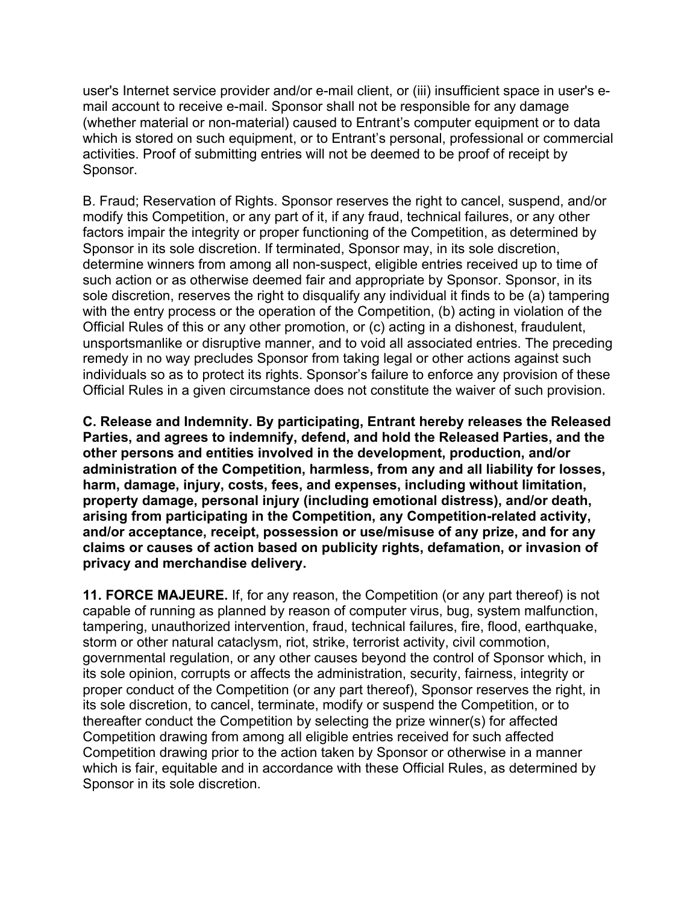user's Internet service provider and/or e-mail client, or (iii) insufficient space in user's email account to receive e-mail. Sponsor shall not be responsible for any damage (whether material or non-material) caused to Entrant's computer equipment or to data which is stored on such equipment, or to Entrant's personal, professional or commercial activities. Proof of submitting entries will not be deemed to be proof of receipt by Sponsor.

B. Fraud; Reservation of Rights. Sponsor reserves the right to cancel, suspend, and/or modify this Competition, or any part of it, if any fraud, technical failures, or any other factors impair the integrity or proper functioning of the Competition, as determined by Sponsor in its sole discretion. If terminated, Sponsor may, in its sole discretion, determine winners from among all non-suspect, eligible entries received up to time of such action or as otherwise deemed fair and appropriate by Sponsor. Sponsor, in its sole discretion, reserves the right to disqualify any individual it finds to be (a) tampering with the entry process or the operation of the Competition, (b) acting in violation of the Official Rules of this or any other promotion, or (c) acting in a dishonest, fraudulent, unsportsmanlike or disruptive manner, and to void all associated entries. The preceding remedy in no way precludes Sponsor from taking legal or other actions against such individuals so as to protect its rights. Sponsor's failure to enforce any provision of these Official Rules in a given circumstance does not constitute the waiver of such provision.

**C. Release and Indemnity. By participating, Entrant hereby releases the Released Parties, and agrees to indemnify, defend, and hold the Released Parties, and the other persons and entities involved in the development, production, and/or administration of the Competition, harmless, from any and all liability for losses, harm, damage, injury, costs, fees, and expenses, including without limitation, property damage, personal injury (including emotional distress), and/or death, arising from participating in the Competition, any Competition-related activity, and/or acceptance, receipt, possession or use/misuse of any prize, and for any claims or causes of action based on publicity rights, defamation, or invasion of privacy and merchandise delivery.**

**11. FORCE MAJEURE.** If, for any reason, the Competition (or any part thereof) is not capable of running as planned by reason of computer virus, bug, system malfunction, tampering, unauthorized intervention, fraud, technical failures, fire, flood, earthquake, storm or other natural cataclysm, riot, strike, terrorist activity, civil commotion, governmental regulation, or any other causes beyond the control of Sponsor which, in its sole opinion, corrupts or affects the administration, security, fairness, integrity or proper conduct of the Competition (or any part thereof), Sponsor reserves the right, in its sole discretion, to cancel, terminate, modify or suspend the Competition, or to thereafter conduct the Competition by selecting the prize winner(s) for affected Competition drawing from among all eligible entries received for such affected Competition drawing prior to the action taken by Sponsor or otherwise in a manner which is fair, equitable and in accordance with these Official Rules, as determined by Sponsor in its sole discretion.